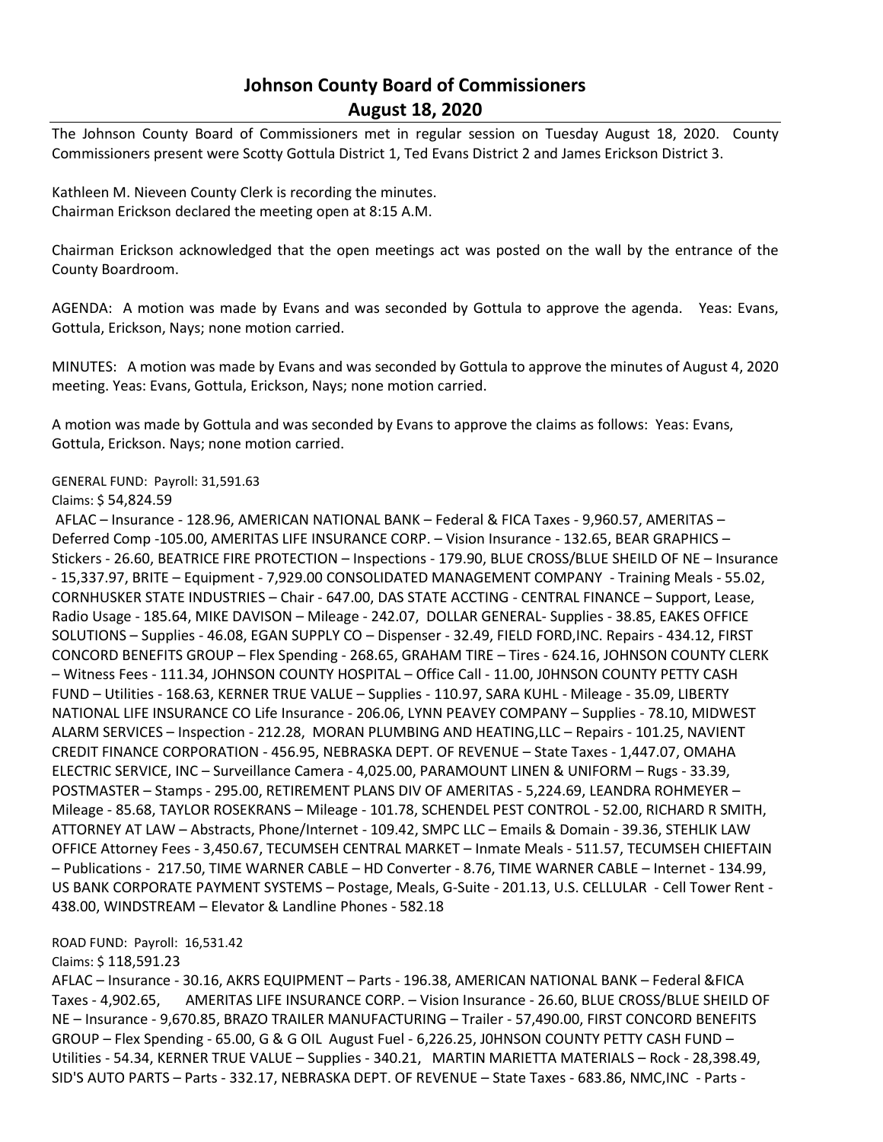## **Johnson County Board of Commissioners August 18, 2020**

The Johnson County Board of Commissioners met in regular session on Tuesday August 18, 2020. County Commissioners present were Scotty Gottula District 1, Ted Evans District 2 and James Erickson District 3.

Kathleen M. Nieveen County Clerk is recording the minutes. Chairman Erickson declared the meeting open at 8:15 A.M.

Chairman Erickson acknowledged that the open meetings act was posted on the wall by the entrance of the County Boardroom.

AGENDA: A motion was made by Evans and was seconded by Gottula to approve the agenda. Yeas: Evans, Gottula, Erickson, Nays; none motion carried.

MINUTES: A motion was made by Evans and was seconded by Gottula to approve the minutes of August 4, 2020 meeting. Yeas: Evans, Gottula, Erickson, Nays; none motion carried.

A motion was made by Gottula and was seconded by Evans to approve the claims as follows: Yeas: Evans, Gottula, Erickson. Nays; none motion carried.

## GENERAL FUND: Payroll: 31,591.63

Claims: \$ 54,824.59

AFLAC – Insurance - 128.96, AMERICAN NATIONAL BANK – Federal & FICA Taxes - 9,960.57, AMERITAS – Deferred Comp -105.00, AMERITAS LIFE INSURANCE CORP. – Vision Insurance - 132.65, BEAR GRAPHICS – Stickers - 26.60, BEATRICE FIRE PROTECTION – Inspections - 179.90, BLUE CROSS/BLUE SHEILD OF NE – Insurance - 15,337.97, BRITE – Equipment - 7,929.00 CONSOLIDATED MANAGEMENT COMPANY - Training Meals - 55.02, CORNHUSKER STATE INDUSTRIES – Chair - 647.00, DAS STATE ACCTING - CENTRAL FINANCE – Support, Lease, Radio Usage - 185.64, MIKE DAVISON – Mileage - 242.07, DOLLAR GENERAL- Supplies - 38.85, EAKES OFFICE SOLUTIONS – Supplies - 46.08, EGAN SUPPLY CO – Dispenser - 32.49, FIELD FORD,INC. Repairs - 434.12, FIRST CONCORD BENEFITS GROUP – Flex Spending - 268.65, GRAHAM TIRE – Tires - 624.16, JOHNSON COUNTY CLERK – Witness Fees - 111.34, JOHNSON COUNTY HOSPITAL – Office Call - 11.00, J0HNSON COUNTY PETTY CASH FUND – Utilities - 168.63, KERNER TRUE VALUE – Supplies - 110.97, SARA KUHL - Mileage - 35.09, LIBERTY NATIONAL LIFE INSURANCE CO Life Insurance - 206.06, LYNN PEAVEY COMPANY – Supplies - 78.10, MIDWEST ALARM SERVICES – Inspection - 212.28, MORAN PLUMBING AND HEATING,LLC – Repairs - 101.25, NAVIENT CREDIT FINANCE CORPORATION - 456.95, NEBRASKA DEPT. OF REVENUE – State Taxes - 1,447.07, OMAHA ELECTRIC SERVICE, INC – Surveillance Camera - 4,025.00, PARAMOUNT LINEN & UNIFORM – Rugs - 33.39, POSTMASTER – Stamps - 295.00, RETIREMENT PLANS DIV OF AMERITAS - 5,224.69, LEANDRA ROHMEYER – Mileage - 85.68, TAYLOR ROSEKRANS – Mileage - 101.78, SCHENDEL PEST CONTROL - 52.00, RICHARD R SMITH, ATTORNEY AT LAW – Abstracts, Phone/Internet - 109.42, SMPC LLC – Emails & Domain - 39.36, STEHLIK LAW OFFICE Attorney Fees - 3,450.67, TECUMSEH CENTRAL MARKET – Inmate Meals - 511.57, TECUMSEH CHIEFTAIN – Publications - 217.50, TIME WARNER CABLE – HD Converter - 8.76, TIME WARNER CABLE – Internet - 134.99, US BANK CORPORATE PAYMENT SYSTEMS – Postage, Meals, G-Suite - 201.13, U.S. CELLULAR - Cell Tower Rent - 438.00, WINDSTREAM – Elevator & Landline Phones - 582.18

ROAD FUND: Payroll: 16,531.42

Claims: \$ 118,591.23

AFLAC – Insurance - 30.16, AKRS EQUIPMENT – Parts - 196.38, AMERICAN NATIONAL BANK – Federal &FICA Taxes - 4,902.65, AMERITAS LIFE INSURANCE CORP. – Vision Insurance - 26.60, BLUE CROSS/BLUE SHEILD OF NE – Insurance - 9,670.85, BRAZO TRAILER MANUFACTURING – Trailer - 57,490.00, FIRST CONCORD BENEFITS GROUP – Flex Spending - 65.00, G & G OIL August Fuel - 6,226.25, J0HNSON COUNTY PETTY CASH FUND – Utilities - 54.34, KERNER TRUE VALUE – Supplies - 340.21, MARTIN MARIETTA MATERIALS – Rock - 28,398.49, SID'S AUTO PARTS – Parts - 332.17, NEBRASKA DEPT. OF REVENUE – State Taxes - 683.86, NMC,INC - Parts -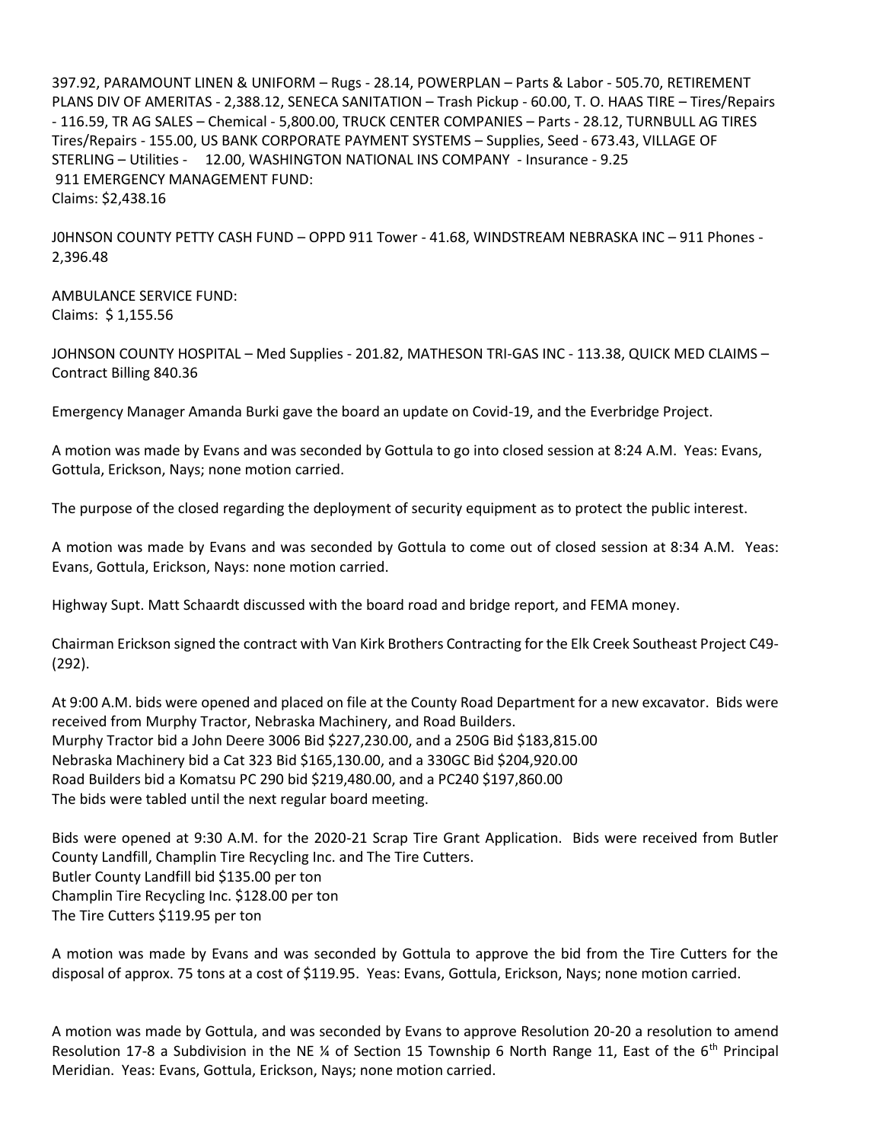397.92, PARAMOUNT LINEN & UNIFORM – Rugs - 28.14, POWERPLAN – Parts & Labor - 505.70, RETIREMENT PLANS DIV OF AMERITAS - 2,388.12, SENECA SANITATION – Trash Pickup - 60.00, T. O. HAAS TIRE – Tires/Repairs - 116.59, TR AG SALES – Chemical - 5,800.00, TRUCK CENTER COMPANIES – Parts - 28.12, TURNBULL AG TIRES Tires/Repairs - 155.00, US BANK CORPORATE PAYMENT SYSTEMS – Supplies, Seed - 673.43, VILLAGE OF STERLING – Utilities - 12.00, WASHINGTON NATIONAL INS COMPANY - Insurance - 9.25 911 EMERGENCY MANAGEMENT FUND: Claims: \$2,438.16

J0HNSON COUNTY PETTY CASH FUND – OPPD 911 Tower - 41.68, WINDSTREAM NEBRASKA INC – 911 Phones - 2,396.48

AMBULANCE SERVICE FUND: Claims: \$ 1,155.56

JOHNSON COUNTY HOSPITAL – Med Supplies - 201.82, MATHESON TRI-GAS INC - 113.38, QUICK MED CLAIMS – Contract Billing 840.36

Emergency Manager Amanda Burki gave the board an update on Covid-19, and the Everbridge Project.

A motion was made by Evans and was seconded by Gottula to go into closed session at 8:24 A.M. Yeas: Evans, Gottula, Erickson, Nays; none motion carried.

The purpose of the closed regarding the deployment of security equipment as to protect the public interest.

A motion was made by Evans and was seconded by Gottula to come out of closed session at 8:34 A.M. Yeas: Evans, Gottula, Erickson, Nays: none motion carried.

Highway Supt. Matt Schaardt discussed with the board road and bridge report, and FEMA money.

Chairman Erickson signed the contract with Van Kirk Brothers Contracting for the Elk Creek Southeast Project C49- (292).

At 9:00 A.M. bids were opened and placed on file at the County Road Department for a new excavator. Bids were received from Murphy Tractor, Nebraska Machinery, and Road Builders. Murphy Tractor bid a John Deere 3006 Bid \$227,230.00, and a 250G Bid \$183,815.00 Nebraska Machinery bid a Cat 323 Bid \$165,130.00, and a 330GC Bid \$204,920.00 Road Builders bid a Komatsu PC 290 bid \$219,480.00, and a PC240 \$197,860.00 The bids were tabled until the next regular board meeting.

Bids were opened at 9:30 A.M. for the 2020-21 Scrap Tire Grant Application. Bids were received from Butler County Landfill, Champlin Tire Recycling Inc. and The Tire Cutters. Butler County Landfill bid \$135.00 per ton Champlin Tire Recycling Inc. \$128.00 per ton The Tire Cutters \$119.95 per ton

A motion was made by Evans and was seconded by Gottula to approve the bid from the Tire Cutters for the disposal of approx. 75 tons at a cost of \$119.95. Yeas: Evans, Gottula, Erickson, Nays; none motion carried.

A motion was made by Gottula, and was seconded by Evans to approve Resolution 20-20 a resolution to amend Resolution 17-8 a Subdivision in the NE ¼ of Section 15 Township 6 North Range 11, East of the 6<sup>th</sup> Principal Meridian. Yeas: Evans, Gottula, Erickson, Nays; none motion carried.